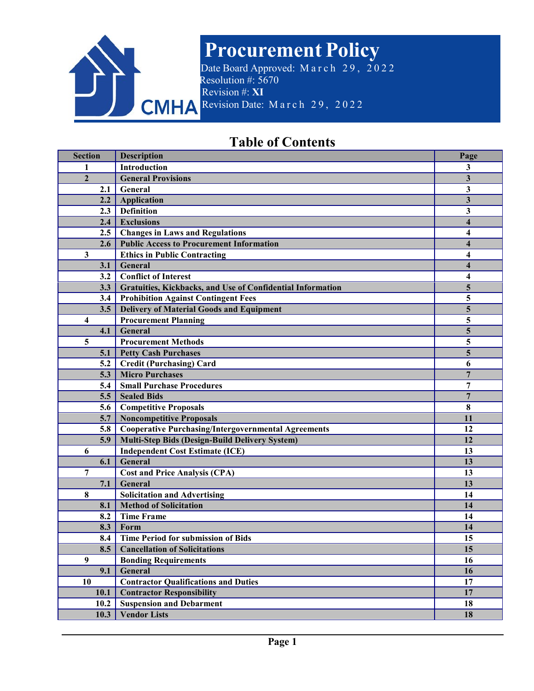

# **Procurement Policy**

Date Board Approved: March 29, 2022 Resolution #: 5670 Revision #: **XI** CMHA Revision Date: March 29, 2022

# **Table of Contents**

| <b>Section</b>          | <b>Description</b>                                         | Page                    |
|-------------------------|------------------------------------------------------------|-------------------------|
| 1                       | Introduction                                               | 3                       |
| $\mathbf{2}$            | <b>General Provisions</b>                                  | $\mathbf{3}$            |
| 2.1                     | General                                                    | 3                       |
| 2.2                     | <b>Application</b>                                         | 3                       |
| 2.3                     | <b>Definition</b>                                          | 3                       |
| 2.4                     | <b>Exclusions</b>                                          | $\overline{\mathbf{4}}$ |
| 2.5                     | <b>Changes in Laws and Regulations</b>                     | 4                       |
| 2.6                     | <b>Public Access to Procurement Information</b>            | 4                       |
| $\mathbf{3}$            | <b>Ethics in Public Contracting</b>                        | 4                       |
| 3.1                     | General                                                    | 4                       |
| 3.2                     | <b>Conflict of Interest</b>                                | 4                       |
| 3.3                     | Gratuities, Kickbacks, and Use of Confidential Information | 5                       |
| 3.4                     | <b>Prohibition Against Contingent Fees</b>                 | 5                       |
| 3.5                     | <b>Delivery of Material Goods and Equipment</b>            | 5                       |
| $\overline{\mathbf{4}}$ | <b>Procurement Planning</b>                                | 5                       |
| 4.1                     | General                                                    | 5                       |
| 5                       | <b>Procurement Methods</b>                                 | 5                       |
| 5.1                     | <b>Petty Cash Purchases</b>                                | 5                       |
| 5.2                     | <b>Credit (Purchasing) Card</b>                            | 6                       |
| 5.3                     | <b>Micro Purchases</b>                                     | 7                       |
| 5.4                     | <b>Small Purchase Procedures</b>                           | 7                       |
| 5.5                     | <b>Sealed Bids</b>                                         | $\overline{7}$          |
| 5.6                     | <b>Competitive Proposals</b>                               | 8                       |
| 5.7                     | Noncompetitive Proposals                                   | 11                      |
| 5.8                     | <b>Cooperative Purchasing/Intergovernmental Agreements</b> | 12                      |
| 5.9                     | Multi-Step Bids (Design-Build Delivery System)             | 12                      |
| 6                       | <b>Independent Cost Estimate (ICE)</b>                     | 13                      |
| 6.1                     | General                                                    | 13                      |
| 7                       | <b>Cost and Price Analysis (CPA)</b>                       | 13                      |
| 7.1                     | General                                                    | 13                      |
| 8                       | <b>Solicitation and Advertising</b>                        | 14                      |
| 8.1                     | <b>Method of Solicitation</b>                              | 14                      |
| 8.2                     | <b>Time Frame</b>                                          | 14                      |
| 8.3                     | Form                                                       | 14                      |
| 8.4                     | <b>Time Period for submission of Bids</b>                  | 15                      |
| 8.5                     | <b>Cancellation of Solicitations</b>                       | 15                      |
| 9                       | <b>Bonding Requirements</b>                                | 16                      |
| 9.1                     | General                                                    | 16                      |
| 10                      | <b>Contractor Qualifications and Duties</b>                | 17                      |
| 10.1                    | <b>Contractor Responsibility</b>                           | 17                      |
| 10.2                    | <b>Suspension and Debarment</b>                            | 18                      |
| 10.3                    | <b>Vendor Lists</b>                                        | 18                      |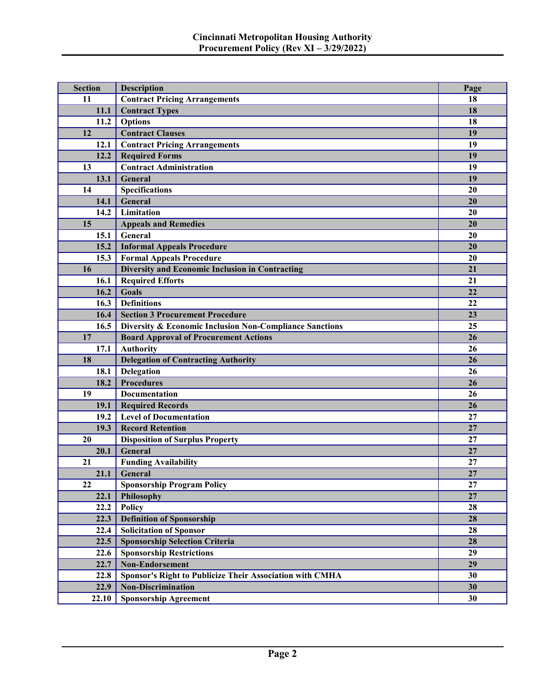| <b>Section</b> | <b>Description</b>                                       | Page     |
|----------------|----------------------------------------------------------|----------|
| 11             | <b>Contract Pricing Arrangements</b>                     | 18       |
| 11.1           | <b>Contract Types</b>                                    | 18       |
| 11.2           | <b>Options</b>                                           | 18       |
| 12             | <b>Contract Clauses</b>                                  | 19       |
| 12.1           | <b>Contract Pricing Arrangements</b>                     | 19       |
| 12.2           | <b>Required Forms</b>                                    | 19       |
| 13             | <b>Contract Administration</b>                           | 19       |
| 13.1           | General                                                  | 19       |
| 14             | Specifications                                           | 20       |
| 14.1           | General                                                  | 20       |
| 14.2           | Limitation                                               | 20       |
| 15             | <b>Appeals and Remedies</b>                              | 20       |
| 15.1           | General                                                  | 20       |
| 15.2           | <b>Informal Appeals Procedure</b>                        | 20       |
| 15.3           | <b>Formal Appeals Procedure</b>                          | 20       |
| 16             | <b>Diversity and Economic Inclusion in Contracting</b>   | 21       |
| 16.1           | <b>Required Efforts</b>                                  | 21       |
| 16.2           | Goals                                                    | 22       |
| 16.3           | <b>Definitions</b>                                       | 22       |
| 16.4           | <b>Section 3 Procurement Procedure</b>                   | 23       |
| 16.5           | Diversity & Economic Inclusion Non-Compliance Sanctions  | 25       |
| 17             | <b>Board Approval of Procurement Actions</b>             | 26       |
| 17.1           | <b>Authority</b>                                         | 26       |
| 18             | <b>Delegation of Contracting Authority</b>               | 26       |
| 18.1           | Delegation                                               | 26       |
| 18.2           | <b>Procedures</b>                                        | 26       |
| 19             | Documentation                                            | 26       |
| 19.1           | <b>Required Records</b>                                  | 26       |
| 19.2           | <b>Level of Documentation</b>                            | 27       |
| 19.3           | <b>Record Retention</b>                                  | 27       |
| 20             | <b>Disposition of Surplus Property</b>                   | 27       |
| 20.1           | General                                                  | 27       |
| 21             | <b>Funding Availability</b>                              | 27       |
|                | 21.1 General                                             | $\bf 27$ |
| 22             | <b>Sponsorship Program Policy</b>                        | 27       |
| 22.1           | <b>Philosophy</b>                                        | 27       |
| 22.2           | <b>Policy</b>                                            | 28       |
| 22.3           | <b>Definition of Sponsorship</b>                         | 28       |
| 22.4           | <b>Solicitation of Sponsor</b>                           | 28       |
| 22.5           | <b>Sponsorship Selection Criteria</b>                    | 28       |
| 22.6           | <b>Sponsorship Restrictions</b>                          | 29       |
| 22.7           | <b>Non-Endorsement</b>                                   | 29       |
| 22.8           | Sponsor's Right to Publicize Their Association with CMHA | 30       |
| 22.9           | <b>Non-Discrimination</b>                                | 30       |
| 22.10          | <b>Sponsorship Agreement</b>                             | 30       |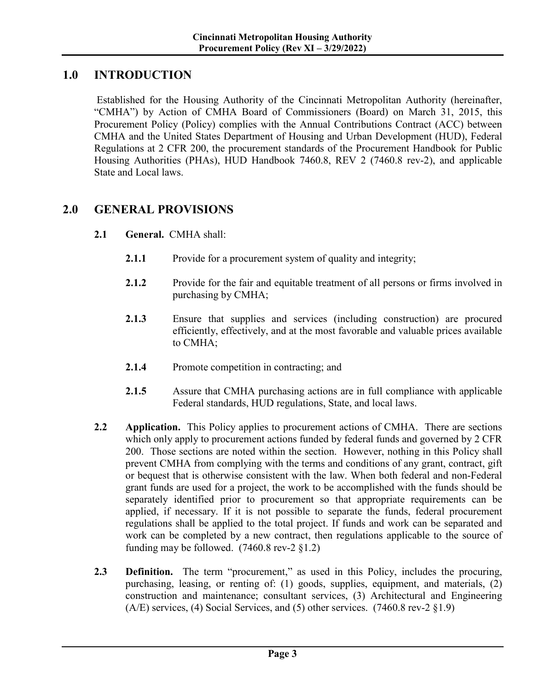## **1.0 INTRODUCTION**

Established for the Housing Authority of the Cincinnati Metropolitan Authority (hereinafter, "CMHA") by Action of CMHA Board of Commissioners (Board) on March 31, 2015, this Procurement Policy (Policy) complies with the Annual Contributions Contract (ACC) between CMHA and the United States Department of Housing and Urban Development (HUD), Federal Regulations at 2 CFR 200, the procurement standards of the Procurement Handbook for Public Housing Authorities (PHAs), HUD Handbook 7460.8, REV 2 (7460.8 rev-2), and applicable State and Local laws.

## **2.0 GENERAL PROVISIONS**

- **2.1 General.** CMHA shall:
	- **2.1.1** Provide for a procurement system of quality and integrity;
	- **2.1.2** Provide for the fair and equitable treatment of all persons or firms involved in purchasing by CMHA;
	- **2.1.3** Ensure that supplies and services (including construction) are procured efficiently, effectively, and at the most favorable and valuable prices available to CMHA;
	- **2.1.4** Promote competition in contracting; and
	- **2.1.5** Assure that CMHA purchasing actions are in full compliance with applicable Federal standards, HUD regulations, State, and local laws.
- **2.2 Application.** This Policy applies to procurement actions of CMHA. There are sections which only apply to procurement actions funded by federal funds and governed by 2 CFR 200. Those sections are noted within the section. However, nothing in this Policy shall prevent CMHA from complying with the terms and conditions of any grant, contract, gift or bequest that is otherwise consistent with the law. When both federal and non-Federal grant funds are used for a project, the work to be accomplished with the funds should be separately identified prior to procurement so that appropriate requirements can be applied, if necessary. If it is not possible to separate the funds, federal procurement regulations shall be applied to the total project. If funds and work can be separated and work can be completed by a new contract, then regulations applicable to the source of funding may be followed.  $(7460.8 \text{ rev-}2 \text{ §}1.2)$
- **2.3 Definition.** The term "procurement," as used in this Policy, includes the procuring, purchasing, leasing, or renting of: (1) goods, supplies, equipment, and materials, (2) construction and maintenance; consultant services, (3) Architectural and Engineering (A/E) services, (4) Social Services, and (5) other services. (7460.8 rev-2  $\S$ 1.9)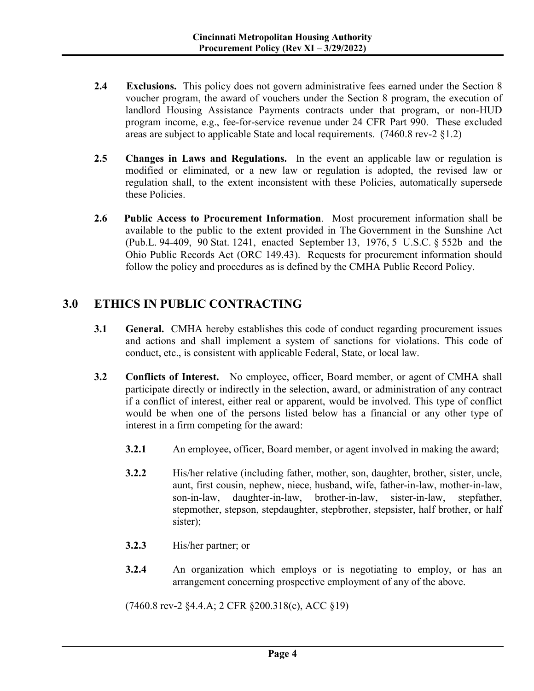- 2.4 Exclusions. This policy does not govern administrative fees earned under the Section 8 voucher program, the award of vouchers under the Section 8 program, the execution of landlord Housing Assistance Payments contracts under that program, or non-HUD program income, e.g., fee-for-service revenue under 24 CFR Part 990. These excluded areas are subject to applicable State and local requirements. (7460.8 rev-2 §1.2)
- **2.5 Changes in Laws and Regulations.** In the event an applicable law or regulation is modified or eliminated, or a new law or regulation is adopted, the revised law or regulation shall, to the extent inconsistent with these Policies, automatically supersede these Policies.
- **2.6 Public Access to Procurement Information**. Most procurement information shall be available to the public to the extent provided in The Government in the Sunshine Act (Pub.L. 94-409, 90 Stat. 1241, enacted September 13, 1976, 5 U.S.C. § 552b and the Ohio Public Records Act (ORC 149.43). Requests for procurement information should follow the policy and procedures as is defined by the CMHA Public Record Policy.

# **3.0 ETHICS IN PUBLIC CONTRACTING**

- **3.1 General.** CMHA hereby establishes this code of conduct regarding procurement issues and actions and shall implement a system of sanctions for violations. This code of conduct, etc., is consistent with applicable Federal, State, or local law.
- **3.2 Conflicts of Interest.** No employee, officer, Board member, or agent of CMHA shall participate directly or indirectly in the selection, award, or administration of any contract if a conflict of interest, either real or apparent, would be involved. This type of conflict would be when one of the persons listed below has a financial or any other type of interest in a firm competing for the award:
	- **3.2.1** An employee, officer, Board member, or agent involved in making the award;
	- **3.2.2** His/her relative (including father, mother, son, daughter, brother, sister, uncle, aunt, first cousin, nephew, niece, husband, wife, father-in-law, mother-in-law, son-in-law, daughter-in-law, brother-in-law, sister-in-law, stepfather, stepmother, stepson, stepdaughter, stepbrother, stepsister, half brother, or half sister);
	- **3.2.3** His/her partner; or
	- **3.2.4** An organization which employs or is negotiating to employ, or has an arrangement concerning prospective employment of any of the above.

(7460.8 rev-2 §4.4.A; 2 CFR §200.318(c), ACC §19)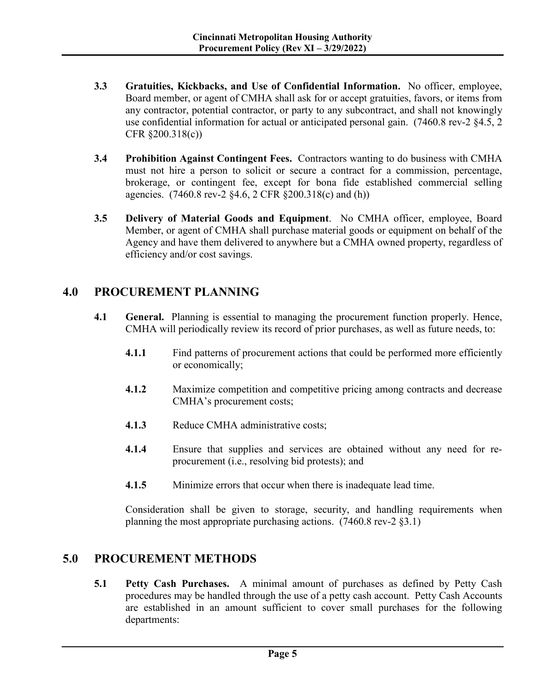- **3.3 Gratuities, Kickbacks, and Use of Confidential Information.** No officer, employee, Board member, or agent of CMHA shall ask for or accept gratuities, favors, or items from any contractor, potential contractor, or party to any subcontract, and shall not knowingly use confidential information for actual or anticipated personal gain. (7460.8 rev-2 §4.5, 2 CFR §200.318(c))
- **3.4 Prohibition Against Contingent Fees.** Contractors wanting to do business with CMHA must not hire a person to solicit or secure a contract for a commission, percentage, brokerage, or contingent fee, except for bona fide established commercial selling agencies. (7460.8 rev-2 §4.6, 2 CFR §200.318(c) and (h))
- **3.5 Delivery of Material Goods and Equipment**. No CMHA officer, employee, Board Member, or agent of CMHA shall purchase material goods or equipment on behalf of the Agency and have them delivered to anywhere but a CMHA owned property, regardless of efficiency and/or cost savings.

## **4.0 PROCUREMENT PLANNING**

- **4.1 General.** Planning is essential to managing the procurement function properly. Hence, CMHA will periodically review its record of prior purchases, as well as future needs, to:
	- **4.1.1** Find patterns of procurement actions that could be performed more efficiently or economically;
	- **4.1.2** Maximize competition and competitive pricing among contracts and decrease CMHA's procurement costs;
	- **4.1.3** Reduce CMHA administrative costs;
	- **4.1.4** Ensure that supplies and services are obtained without any need for reprocurement (i.e., resolving bid protests); and
	- **4.1.5** Minimize errors that occur when there is inadequate lead time.

Consideration shall be given to storage, security, and handling requirements when planning the most appropriate purchasing actions. (7460.8 rev-2 §3.1)

## **5.0 PROCUREMENT METHODS**

**5.1 Petty Cash Purchases.** A minimal amount of purchases as defined by Petty Cash procedures may be handled through the use of a petty cash account. Petty Cash Accounts are established in an amount sufficient to cover small purchases for the following departments: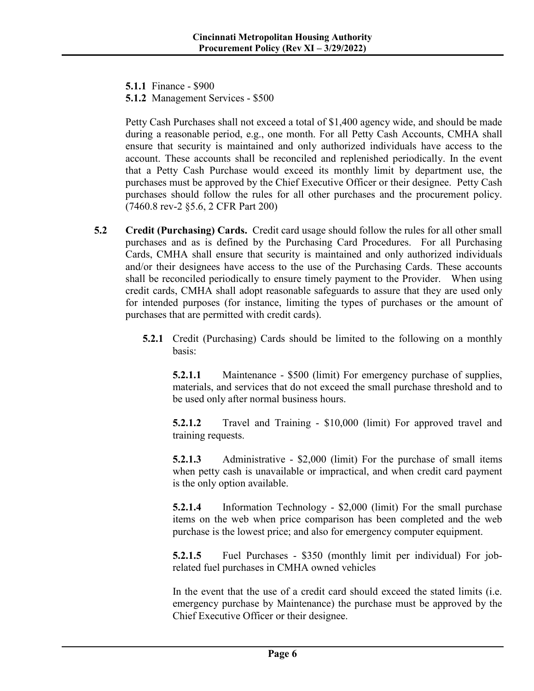**5.1.1** Finance - \$900

**5.1.2** Management Services - \$500

Petty Cash Purchases shall not exceed a total of \$1,400 agency wide, and should be made during a reasonable period, e.g., one month. For all Petty Cash Accounts, CMHA shall ensure that security is maintained and only authorized individuals have access to the account. These accounts shall be reconciled and replenished periodically. In the event that a Petty Cash Purchase would exceed its monthly limit by department use, the purchases must be approved by the Chief Executive Officer or their designee. Petty Cash purchases should follow the rules for all other purchases and the procurement policy. (7460.8 rev-2 §5.6, 2 CFR Part 200)

- **5.2 Credit (Purchasing) Cards.** Credit card usage should follow the rules for all other small purchases and as is defined by the Purchasing Card Procedures. For all Purchasing Cards, CMHA shall ensure that security is maintained and only authorized individuals and/or their designees have access to the use of the Purchasing Cards. These accounts shall be reconciled periodically to ensure timely payment to the Provider. When using credit cards, CMHA shall adopt reasonable safeguards to assure that they are used only for intended purposes (for instance, limiting the types of purchases or the amount of purchases that are permitted with credit cards).
	- **5.2.1** Credit (Purchasing) Cards should be limited to the following on a monthly basis:

**5.2.1.1** Maintenance - \$500 (limit) For emergency purchase of supplies, materials, and services that do not exceed the small purchase threshold and to be used only after normal business hours.

**5.2.1.2** Travel and Training - \$10,000 (limit) For approved travel and training requests.

**5.2.1.3** Administrative - \$2,000 (limit) For the purchase of small items when petty cash is unavailable or impractical, and when credit card payment is the only option available.

**5.2.1.4** Information Technology - \$2,000 (limit) For the small purchase items on the web when price comparison has been completed and the web purchase is the lowest price; and also for emergency computer equipment.

**5.2.1.5** Fuel Purchases - \$350 (monthly limit per individual) For jobrelated fuel purchases in CMHA owned vehicles

In the event that the use of a credit card should exceed the stated limits (i.e. emergency purchase by Maintenance) the purchase must be approved by the Chief Executive Officer or their designee.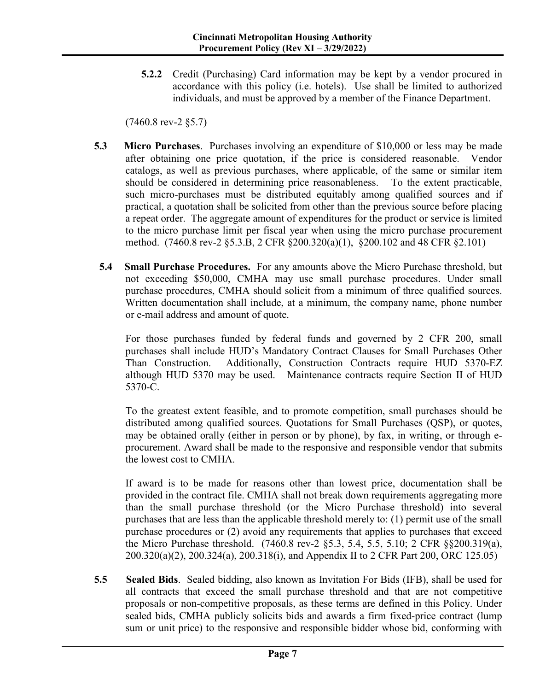**5.2.2** Credit (Purchasing) Card information may be kept by a vendor procured in accordance with this policy (i.e. hotels). Use shall be limited to authorized individuals, and must be approved by a member of the Finance Department.

(7460.8 rev-2 §5.7)

- **5.3 Micro Purchases**. Purchases involving an expenditure of \$10,000 or less may be made after obtaining one price quotation, if the price is considered reasonable. Vendor catalogs, as well as previous purchases, where applicable, of the same or similar item should be considered in determining price reasonableness. To the extent practicable, such micro-purchases must be distributed equitably among qualified sources and if practical, a quotation shall be solicited from other than the previous source before placing a repeat order. The aggregate amount of expenditures for the product or service is limited to the micro purchase limit per fiscal year when using the micro purchase procurement method. (7460.8 rev-2 §5.3.B, 2 CFR §200.320(a)(1), §200.102 and 48 CFR §2.101)
- **5.4 Small Purchase Procedures.** For any amounts above the Micro Purchase threshold, but not exceeding \$50,000, CMHA may use small purchase procedures. Under small purchase procedures, CMHA should solicit from a minimum of three qualified sources. Written documentation shall include, at a minimum, the company name, phone number or e-mail address and amount of quote.

For those purchases funded by federal funds and governed by 2 CFR 200, small purchases shall include HUD's Mandatory Contract Clauses for Small Purchases Other Than Construction. Additionally, Construction Contracts require HUD 5370-EZ although HUD 5370 may be used. Maintenance contracts require Section II of HUD 5370-C.

To the greatest extent feasible, and to promote competition, small purchases should be distributed among qualified sources. Quotations for Small Purchases (QSP), or quotes, may be obtained orally (either in person or by phone), by fax, in writing, or through eprocurement. Award shall be made to the responsive and responsible vendor that submits the lowest cost to CMHA.

If award is to be made for reasons other than lowest price, documentation shall be provided in the contract file. CMHA shall not break down requirements aggregating more than the small purchase threshold (or the Micro Purchase threshold) into several purchases that are less than the applicable threshold merely to: (1) permit use of the small purchase procedures or (2) avoid any requirements that applies to purchases that exceed the Micro Purchase threshold. (7460.8 rev-2 §5.3, 5.4, 5.5, 5.10; 2 CFR §§200.319(a), 200.320(a)(2), 200.324(a), 200.318(i), and Appendix II to 2 CFR Part 200, ORC 125.05)

**5.5 Sealed Bids**. Sealed bidding, also known as Invitation For Bids (IFB), shall be used for all contracts that exceed the small purchase threshold and that are not competitive proposals or non-competitive proposals, as these terms are defined in this Policy. Under sealed bids, CMHA publicly solicits bids and awards a firm fixed-price contract (lump sum or unit price) to the responsive and responsible bidder whose bid, conforming with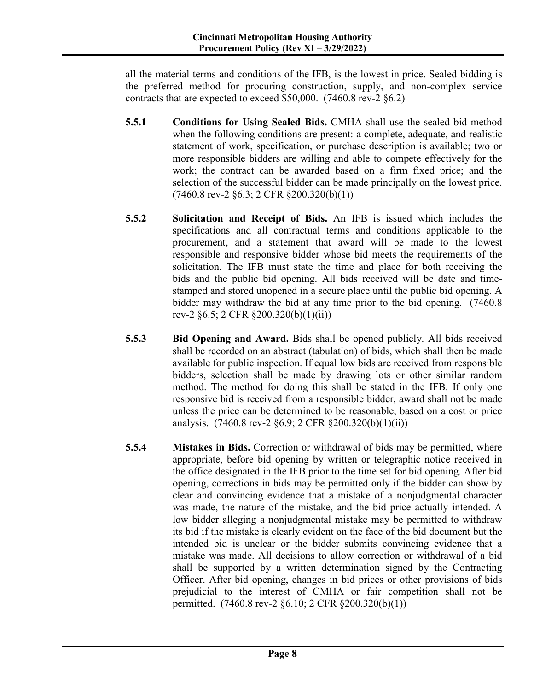all the material terms and conditions of the IFB, is the lowest in price. Sealed bidding is the preferred method for procuring construction, supply, and non-complex service contracts that are expected to exceed \$50,000. (7460.8 rev-2 §6.2)

- **5.5.1 Conditions for Using Sealed Bids.** CMHA shall use the sealed bid method when the following conditions are present: a complete, adequate, and realistic statement of work, specification, or purchase description is available; two or more responsible bidders are willing and able to compete effectively for the work; the contract can be awarded based on a firm fixed price; and the selection of the successful bidder can be made principally on the lowest price. (7460.8 rev-2 §6.3; 2 CFR §200.320(b)(1))
- **5.5.2 Solicitation and Receipt of Bids.** An IFB is issued which includes the specifications and all contractual terms and conditions applicable to the procurement, and a statement that award will be made to the lowest responsible and responsive bidder whose bid meets the requirements of the solicitation. The IFB must state the time and place for both receiving the bids and the public bid opening. All bids received will be date and timestamped and stored unopened in a secure place until the public bid opening. A bidder may withdraw the bid at any time prior to the bid opening. (7460.8 rev-2 §6.5; 2 CFR §200.320(b)(1)(ii))
- **5.5.3 Bid Opening and Award.** Bids shall be opened publicly. All bids received shall be recorded on an abstract (tabulation) of bids, which shall then be made available for public inspection. If equal low bids are received from responsible bidders, selection shall be made by drawing lots or other similar random method. The method for doing this shall be stated in the IFB. If only one responsive bid is received from a responsible bidder, award shall not be made unless the price can be determined to be reasonable, based on a cost or price analysis. (7460.8 rev-2 §6.9; 2 CFR §200.320(b)(1)(ii))
- **5.5.4 Mistakes in Bids.** Correction or withdrawal of bids may be permitted, where appropriate, before bid opening by written or telegraphic notice received in the office designated in the IFB prior to the time set for bid opening. After bid opening, corrections in bids may be permitted only if the bidder can show by clear and convincing evidence that a mistake of a nonjudgmental character was made, the nature of the mistake, and the bid price actually intended. A low bidder alleging a nonjudgmental mistake may be permitted to withdraw its bid if the mistake is clearly evident on the face of the bid document but the intended bid is unclear or the bidder submits convincing evidence that a mistake was made. All decisions to allow correction or withdrawal of a bid shall be supported by a written determination signed by the Contracting Officer. After bid opening, changes in bid prices or other provisions of bids prejudicial to the interest of CMHA or fair competition shall not be permitted. (7460.8 rev-2 §6.10; 2 CFR §200.320(b)(1))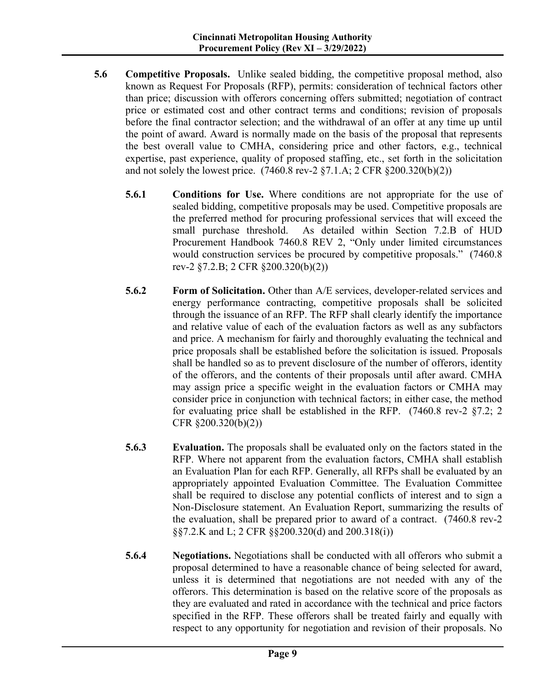- **5.6 Competitive Proposals.** Unlike sealed bidding, the competitive proposal method, also known as Request For Proposals (RFP), permits: consideration of technical factors other than price; discussion with offerors concerning offers submitted; negotiation of contract price or estimated cost and other contract terms and conditions; revision of proposals before the final contractor selection; and the withdrawal of an offer at any time up until the point of award. Award is normally made on the basis of the proposal that represents the best overall value to CMHA, considering price and other factors, e.g., technical expertise, past experience, quality of proposed staffing, etc., set forth in the solicitation and not solely the lowest price. (7460.8 rev-2 §7.1.A; 2 CFR §200.320(b)(2))
	- **5.6.1 Conditions for Use.** Where conditions are not appropriate for the use of sealed bidding, competitive proposals may be used. Competitive proposals are the preferred method for procuring professional services that will exceed the small purchase threshold. As detailed within Section 7.2.B of HUD Procurement Handbook 7460.8 REV 2, "Only under limited circumstances would construction services be procured by competitive proposals." (7460.8) rev-2 §7.2.B; 2 CFR §200.320(b)(2))
	- **5.6.2 Form of Solicitation.** Other than A/E services, developer-related services and energy performance contracting, competitive proposals shall be solicited through the issuance of an RFP. The RFP shall clearly identify the importance and relative value of each of the evaluation factors as well as any subfactors and price. A mechanism for fairly and thoroughly evaluating the technical and price proposals shall be established before the solicitation is issued. Proposals shall be handled so as to prevent disclosure of the number of offerors, identity of the offerors, and the contents of their proposals until after award. CMHA may assign price a specific weight in the evaluation factors or CMHA may consider price in conjunction with technical factors; in either case, the method for evaluating price shall be established in the RFP.  $(7460.8 \text{ rev-}2 \text{ §}7.2; 2)$ CFR §200.320(b)(2))
	- **5.6.3 Evaluation.** The proposals shall be evaluated only on the factors stated in the RFP. Where not apparent from the evaluation factors, CMHA shall establish an Evaluation Plan for each RFP. Generally, all RFPs shall be evaluated by an appropriately appointed Evaluation Committee. The Evaluation Committee shall be required to disclose any potential conflicts of interest and to sign a Non-Disclosure statement. An Evaluation Report, summarizing the results of the evaluation, shall be prepared prior to award of a contract. (7460.8 rev-2 §§7.2.K and L; 2 CFR §§200.320(d) and 200.318(i))
	- **5.6.4 Negotiations.** Negotiations shall be conducted with all offerors who submit a proposal determined to have a reasonable chance of being selected for award, unless it is determined that negotiations are not needed with any of the offerors. This determination is based on the relative score of the proposals as they are evaluated and rated in accordance with the technical and price factors specified in the RFP. These offerors shall be treated fairly and equally with respect to any opportunity for negotiation and revision of their proposals. No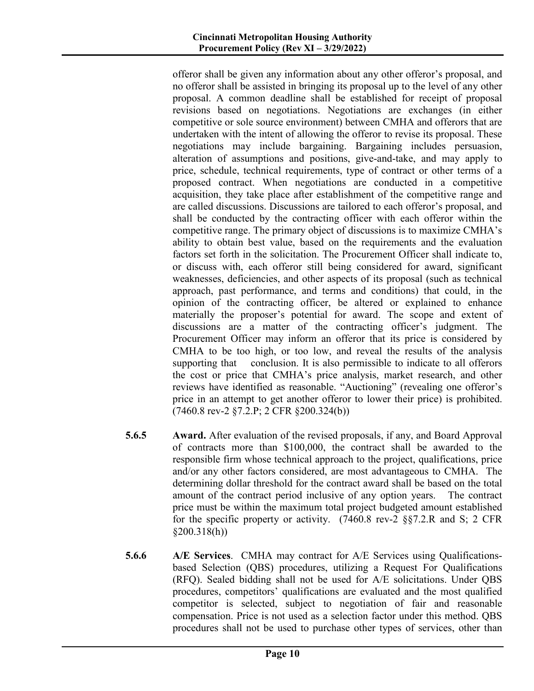offeror shall be given any information about any other offeror's proposal, and no offeror shall be assisted in bringing its proposal up to the level of any other proposal. A common deadline shall be established for receipt of proposal revisions based on negotiations. Negotiations are exchanges (in either competitive or sole source environment) between CMHA and offerors that are undertaken with the intent of allowing the offeror to revise its proposal. These negotiations may include bargaining. Bargaining includes persuasion, alteration of assumptions and positions, give-and-take, and may apply to price, schedule, technical requirements, type of contract or other terms of a proposed contract. When negotiations are conducted in a competitive acquisition, they take place after establishment of the competitive range and are called discussions. Discussions are tailored to each offeror's proposal, and shall be conducted by the contracting officer with each offeror within the competitive range. The primary object of discussions is to maximize CMHA's ability to obtain best value, based on the requirements and the evaluation factors set forth in the solicitation. The Procurement Officer shall indicate to, or discuss with, each offeror still being considered for award, significant weaknesses, deficiencies, and other aspects of its proposal (such as technical approach, past performance, and terms and conditions) that could, in the opinion of the contracting officer, be altered or explained to enhance materially the proposer's potential for award. The scope and extent of discussions are a matter of the contracting officer's judgment. The Procurement Officer may inform an offeror that its price is considered by CMHA to be too high, or too low, and reveal the results of the analysis supporting that conclusion. It is also permissible to indicate to all offerors the cost or price that CMHA's price analysis, market research, and other reviews have identified as reasonable. "Auctioning" (revealing one offeror's price in an attempt to get another offeror to lower their price) is prohibited. (7460.8 rev-2 §7.2.P; 2 CFR §200.324(b))

- **5.6.5 Award.** After evaluation of the revised proposals, if any, and Board Approval of contracts more than \$100,000, the contract shall be awarded to the responsible firm whose technical approach to the project, qualifications, price and/or any other factors considered, are most advantageous to CMHA. The determining dollar threshold for the contract award shall be based on the total amount of the contract period inclusive of any option years. The contract price must be within the maximum total project budgeted amount established for the specific property or activity. (7460.8 rev-2 §§7.2.R and S; 2 CFR §200.318(h))
- **5.6.6 A/E Services**. CMHA may contract for A/E Services using Qualificationsbased Selection (QBS) procedures, utilizing a Request For Qualifications (RFQ). Sealed bidding shall not be used for A/E solicitations. Under QBS procedures, competitors' qualifications are evaluated and the most qualified competitor is selected, subject to negotiation of fair and reasonable compensation. Price is not used as a selection factor under this method. QBS procedures shall not be used to purchase other types of services, other than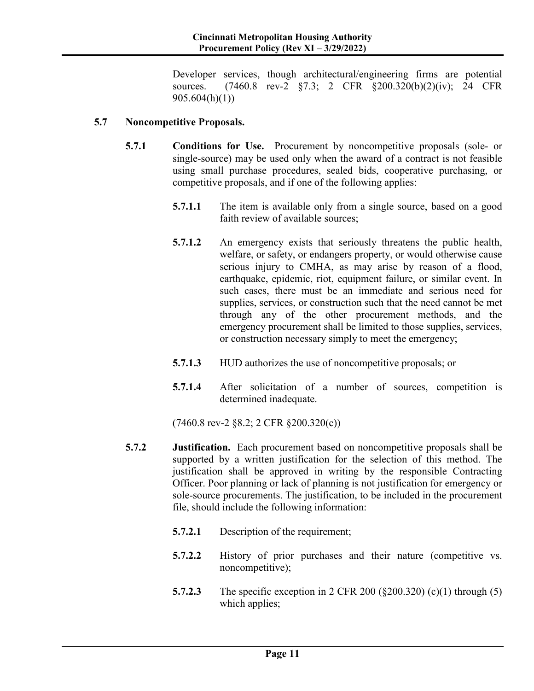Developer services, though architectural/engineering firms are potential sources. (7460.8 rev-2 §7.3; 2 CFR §200.320(b)(2)(iv); 24 CFR 905.604(h)(1))

#### **5.7 Noncompetitive Proposals.**

- **5.7.1 Conditions for Use.** Procurement by noncompetitive proposals (sole- or single-source) may be used only when the award of a contract is not feasible using small purchase procedures, sealed bids, cooperative purchasing, or competitive proposals, and if one of the following applies:
	- **5.7.1.1** The item is available only from a single source, based on a good faith review of available sources;
	- **5.7.1.2** An emergency exists that seriously threatens the public health, welfare, or safety, or endangers property, or would otherwise cause serious injury to CMHA, as may arise by reason of a flood, earthquake, epidemic, riot, equipment failure, or similar event. In such cases, there must be an immediate and serious need for supplies, services, or construction such that the need cannot be met through any of the other procurement methods, and the emergency procurement shall be limited to those supplies, services, or construction necessary simply to meet the emergency;
	- **5.7.1.3** HUD authorizes the use of noncompetitive proposals; or
	- **5.7.1.4** After solicitation of a number of sources, competition is determined inadequate.

(7460.8 rev-2 §8.2; 2 CFR §200.320(c))

- **5.7.2 Justification.** Each procurement based on noncompetitive proposals shall be supported by a written justification for the selection of this method. The justification shall be approved in writing by the responsible Contracting Officer. Poor planning or lack of planning is not justification for emergency or sole-source procurements. The justification, to be included in the procurement file, should include the following information:
	- **5.7.2.1** Description of the requirement;
	- **5.7.2.2** History of prior purchases and their nature (competitive vs. noncompetitive);
	- **5.7.2.3** The specific exception in 2 CFR 200 (§200.320) (c)(1) through (5) which applies;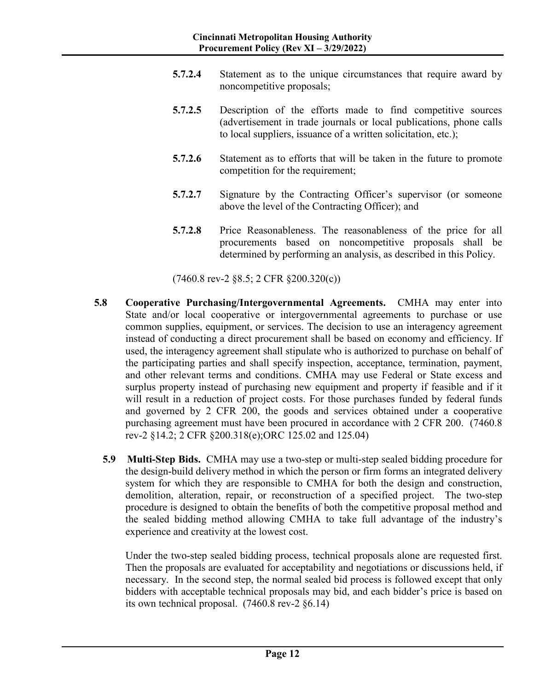- **5.7.2.4** Statement as to the unique circumstances that require award by noncompetitive proposals;
- **5.7.2.5** Description of the efforts made to find competitive sources (advertisement in trade journals or local publications, phone calls to local suppliers, issuance of a written solicitation, etc.);
- **5.7.2.6** Statement as to efforts that will be taken in the future to promote competition for the requirement;
- **5.7.2.7** Signature by the Contracting Officer's supervisor (or someone above the level of the Contracting Officer); and
- **5.7.2.8** Price Reasonableness. The reasonableness of the price for all procurements based on noncompetitive proposals shall be determined by performing an analysis, as described in this Policy.

(7460.8 rev-2 §8.5; 2 CFR §200.320(c))

- **5.8 Cooperative Purchasing/Intergovernmental Agreements.** CMHA may enter into State and/or local cooperative or intergovernmental agreements to purchase or use common supplies, equipment, or services. The decision to use an interagency agreement instead of conducting a direct procurement shall be based on economy and efficiency. If used, the interagency agreement shall stipulate who is authorized to purchase on behalf of the participating parties and shall specify inspection, acceptance, termination, payment, and other relevant terms and conditions. CMHA may use Federal or State excess and surplus property instead of purchasing new equipment and property if feasible and if it will result in a reduction of project costs. For those purchases funded by federal funds and governed by 2 CFR 200, the goods and services obtained under a cooperative purchasing agreement must have been procured in accordance with 2 CFR 200. (7460.8 rev-2 §14.2; 2 CFR §200.318(e);ORC 125.02 and 125.04)
	- **5.9 Multi-Step Bids.**CMHA may use a two-step or multi-step sealed bidding procedure for the design-build delivery method in which the person or firm forms an integrated delivery system for which they are responsible to CMHA for both the design and construction, demolition, alteration, repair, or reconstruction of a specified project. The two-step procedure is designed to obtain the benefits of both the competitive proposal method and the sealed bidding method allowing CMHA to take full advantage of the industry's experience and creativity at the lowest cost.

Under the two-step sealed bidding process, technical proposals alone are requested first. Then the proposals are evaluated for acceptability and negotiations or discussions held, if necessary. In the second step, the normal sealed bid process is followed except that only bidders with acceptable technical proposals may bid, and each bidder's price is based on its own technical proposal. (7460.8 rev-2 §6.14)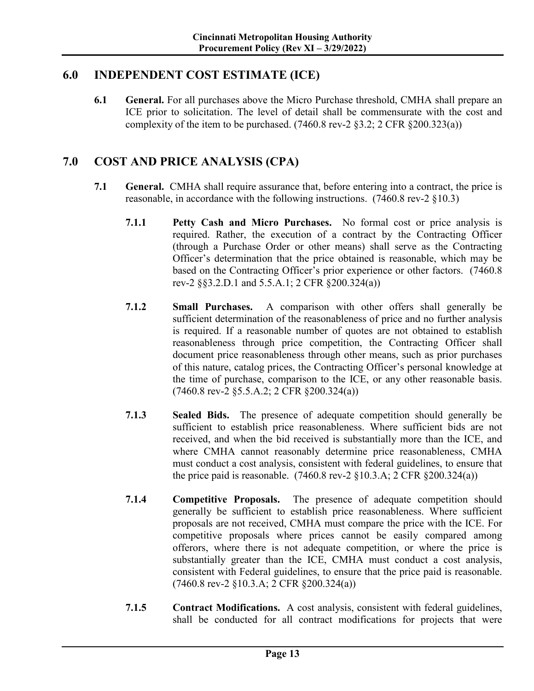## **6.0 INDEPENDENT COST ESTIMATE (ICE)**

**6.1 General.** For all purchases above the Micro Purchase threshold, CMHA shall prepare an ICE prior to solicitation. The level of detail shall be commensurate with the cost and complexity of the item to be purchased.  $(7460.8 \text{ rev-2} \text{ §}3.2; 2 \text{ CFR} \text{ §}200.323(a))$ 

## **7.0 COST AND PRICE ANALYSIS (CPA)**

- **7.1 General.** CMHA shall require assurance that, before entering into a contract, the price is reasonable, in accordance with the following instructions. (7460.8 rev-2 §10.3)
	- **7.1.1 Petty Cash and Micro Purchases.** No formal cost or price analysis is required. Rather, the execution of a contract by the Contracting Officer (through a Purchase Order or other means) shall serve as the Contracting Officer's determination that the price obtained is reasonable, which may be based on the Contracting Officer's prior experience or other factors. (7460.8 rev-2 §§3.2.D.1 and 5.5.A.1; 2 CFR §200.324(a))
	- **7.1.2 Small Purchases.** A comparison with other offers shall generally be sufficient determination of the reasonableness of price and no further analysis is required. If a reasonable number of quotes are not obtained to establish reasonableness through price competition, the Contracting Officer shall document price reasonableness through other means, such as prior purchases of this nature, catalog prices, the Contracting Officer's personal knowledge at the time of purchase, comparison to the ICE, or any other reasonable basis. (7460.8 rev-2 §5.5.A.2; 2 CFR §200.324(a))
	- **7.1.3 Sealed Bids.** The presence of adequate competition should generally be sufficient to establish price reasonableness. Where sufficient bids are not received, and when the bid received is substantially more than the ICE, and where CMHA cannot reasonably determine price reasonableness, CMHA must conduct a cost analysis, consistent with federal guidelines, to ensure that the price paid is reasonable.  $(7460.8 \text{ rev-2} \text{ §}10.3.A; 2 \text{ CFR} \text{ §}200.324(a))$
	- **7.1.4 Competitive Proposals.** The presence of adequate competition should generally be sufficient to establish price reasonableness. Where sufficient proposals are not received, CMHA must compare the price with the ICE. For competitive proposals where prices cannot be easily compared among offerors, where there is not adequate competition, or where the price is substantially greater than the ICE, CMHA must conduct a cost analysis, consistent with Federal guidelines, to ensure that the price paid is reasonable. (7460.8 rev-2 §10.3.A; 2 CFR §200.324(a))
	- **7.1.5 Contract Modifications.** A cost analysis, consistent with federal guidelines, shall be conducted for all contract modifications for projects that were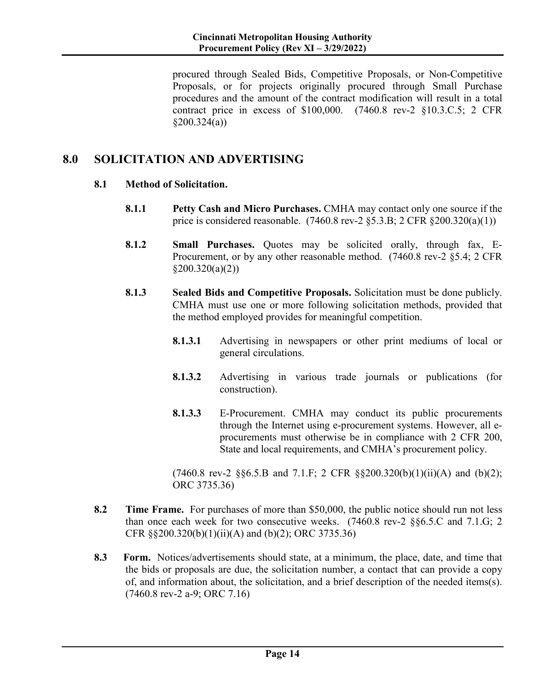procured through Sealed Bids, Competitive Proposals, or Non-Competitive Proposals, or for projects originally procured through Small Purchase procedures and the amount of the contract modification will result in a total contract price in excess of \$100,000. (7460.8 rev-2 §10.3.C.5; 2 CFR  $$200.324(a)$ 

# **8.0 SOLICITATION AND ADVERTISING**

#### **8.1 Method of Solicitation.**

- **8.1.1 Petty Cash and Micro Purchases.** CMHA may contact only one source if the price is considered reasonable.  $(7460.8 \text{ rev-2 }$  §5.3.B; 2 CFR §200.320(a)(1))
- **8.1.2 Small Purchases.** Quotes may be solicited orally, through fax, E-Procurement, or by any other reasonable method. (7460.8 rev-2 §5.4; 2 CFR  $$200.320(a)(2))$
- **8.1.3 Sealed Bids and Competitive Proposals.** Solicitation must be done publicly. CMHA must use one or more following solicitation methods, provided that the method employed provides for meaningful competition.
	- **8.1.3.1** Advertising in newspapers or other print mediums of local or general circulations.
	- **8.1.3.2** Advertising in various trade journals or publications (for construction).
	- **8.1.3.3** E-Procurement. CMHA may conduct its public procurements through the Internet using e-procurement systems. However, all eprocurements must otherwise be in compliance with 2 CFR 200, State and local requirements, and CMHA's procurement policy.

 $(7460.8 \text{ rev-2} \text{ §}66.5.B \text{ and } 7.1.F; 2 \text{ CFR} \text{ §}200.320(b)(1)(ii)(A) \text{ and } (b)(2);$ ORC 3735.36)

- **8.2 Time Frame.** For purchases of more than \$50,000, the public notice should run not less than once each week for two consecutive weeks. (7460.8 rev-2 §§6.5.C and 7.1.G; 2 CFR §§200.320(b)(1)(ii)(A) and (b)(2); ORC 3735.36)
- **8.3 Form.** Notices/advertisements should state, at a minimum, the place, date, and time that the bids or proposals are due, the solicitation number, a contact that can provide a copy of, and information about, the solicitation, and a brief description of the needed items(s). (7460.8 rev-2 a-9; ORC 7.16)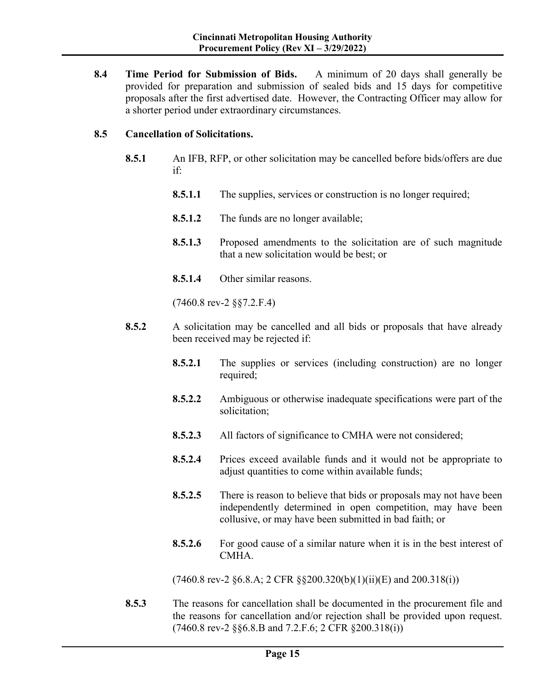**8.4 Time Period for Submission of Bids.** A minimum of 20 days shall generally be provided for preparation and submission of sealed bids and 15 days for competitive proposals after the first advertised date. However, the Contracting Officer may allow for a shorter period under extraordinary circumstances.

#### **8.5 Cancellation of Solicitations.**

- **8.5.1** An IFB, RFP, or other solicitation may be cancelled before bids/offers are due if:
	- **8.5.1.1** The supplies, services or construction is no longer required;
	- **8.5.1.2** The funds are no longer available;
	- **8.5.1.3** Proposed amendments to the solicitation are of such magnitude that a new solicitation would be best; or
	- **8.5.1.4** Other similar reasons.

(7460.8 rev-2 §§7.2.F.4)

- **8.5.2** A solicitation may be cancelled and all bids or proposals that have already been received may be rejected if:
	- **8.5.2.1** The supplies or services (including construction) are no longer required;
	- **8.5.2.2** Ambiguous or otherwise inadequate specifications were part of the solicitation;
	- **8.5.2.3** All factors of significance to CMHA were not considered;
	- **8.5.2.4** Prices exceed available funds and it would not be appropriate to adjust quantities to come within available funds;
	- **8.5.2.5** There is reason to believe that bids or proposals may not have been independently determined in open competition, may have been collusive, or may have been submitted in bad faith; or
	- **8.5.2.6** For good cause of a similar nature when it is in the best interest of CMHA.

 $(7460.8 \text{ rev-2} \S 6.8.A; 2 \text{ CFR} \S 200.320(b)(1)(ii)(E)$  and  $200.318(i))$ 

**8.5.3** The reasons for cancellation shall be documented in the procurement file and the reasons for cancellation and/or rejection shall be provided upon request. (7460.8 rev-2 §§6.8.B and 7.2.F.6; 2 CFR §200.318(i))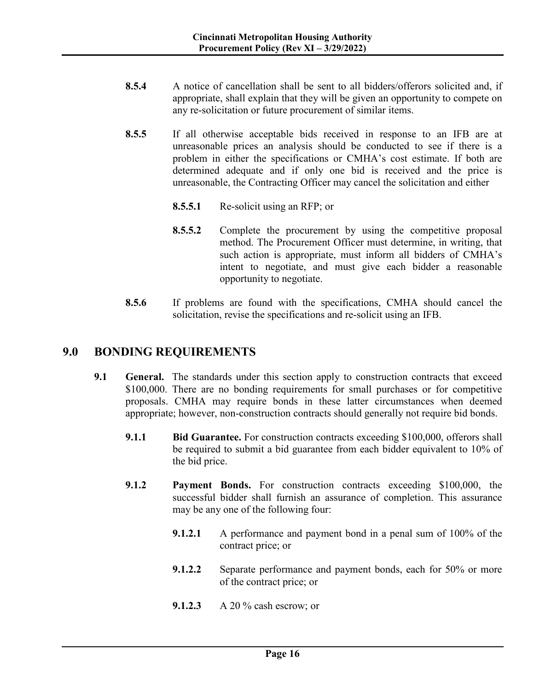- **8.5.4** A notice of cancellation shall be sent to all bidders/offerors solicited and, if appropriate, shall explain that they will be given an opportunity to compete on any re-solicitation or future procurement of similar items.
- **8.5.5** If all otherwise acceptable bids received in response to an IFB are at unreasonable prices an analysis should be conducted to see if there is a problem in either the specifications or CMHA's cost estimate. If both are determined adequate and if only one bid is received and the price is unreasonable, the Contracting Officer may cancel the solicitation and either
	- **8.5.5.1** Re-solicit using an RFP; or
	- **8.5.5.2** Complete the procurement by using the competitive proposal method. The Procurement Officer must determine, in writing, that such action is appropriate, must inform all bidders of CMHA's intent to negotiate, and must give each bidder a reasonable opportunity to negotiate.
- **8.5.6** If problems are found with the specifications, CMHA should cancel the solicitation, revise the specifications and re-solicit using an IFB.

## **9.0 BONDING REQUIREMENTS**

- **9.1 General.** The standards under this section apply to construction contracts that exceed \$100,000. There are no bonding requirements for small purchases or for competitive proposals. CMHA may require bonds in these latter circumstances when deemed appropriate; however, non-construction contracts should generally not require bid bonds.
	- **9.1.1 Bid Guarantee.** For construction contracts exceeding \$100,000, offerors shall be required to submit a bid guarantee from each bidder equivalent to 10% of the bid price.
	- **9.1.2 Payment Bonds.** For construction contracts exceeding \$100,000, the successful bidder shall furnish an assurance of completion. This assurance may be any one of the following four:
		- **9.1.2.1** A performance and payment bond in a penal sum of 100% of the contract price; or
		- **9.1.2.2** Separate performance and payment bonds, each for 50% or more of the contract price; or
		- **9.1.2.3** A 20 % cash escrow; or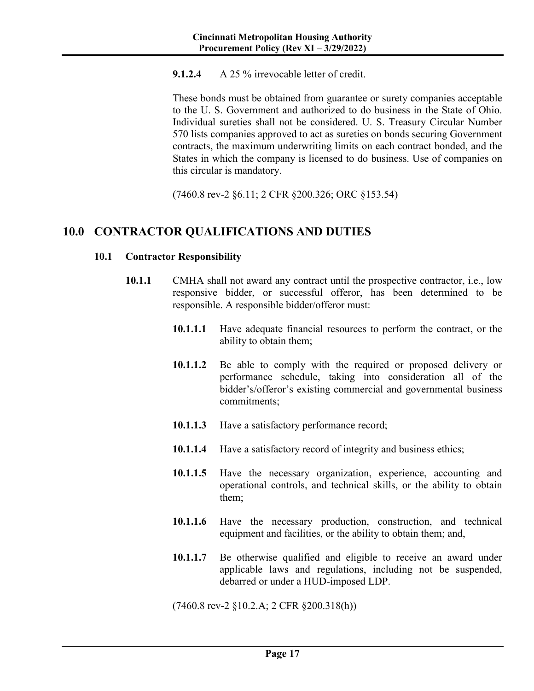#### **9.1.2.4** A 25 % irrevocable letter of credit.

These bonds must be obtained from guarantee or surety companies acceptable to the U. S. Government and authorized to do business in the State of Ohio. Individual sureties shall not be considered. U. S. Treasury Circular Number 570 lists companies approved to act as sureties on bonds securing Government contracts, the maximum underwriting limits on each contract bonded, and the States in which the company is licensed to do business. Use of companies on this circular is mandatory.

(7460.8 rev-2 §6.11; 2 CFR §200.326; ORC §153.54)

## **10.0 CONTRACTOR QUALIFICATIONS AND DUTIES**

#### **10.1 Contractor Responsibility**

- **10.1.1** CMHA shall not award any contract until the prospective contractor, i.e., low responsive bidder, or successful offeror, has been determined to be responsible. A responsible bidder/offeror must:
	- **10.1.1.1** Have adequate financial resources to perform the contract, or the ability to obtain them;
	- **10.1.1.2** Be able to comply with the required or proposed delivery or performance schedule, taking into consideration all of the bidder's/offeror's existing commercial and governmental business commitments;
	- **10.1.1.3** Have a satisfactory performance record;
	- **10.1.1.4** Have a satisfactory record of integrity and business ethics;
	- **10.1.1.5** Have the necessary organization, experience, accounting and operational controls, and technical skills, or the ability to obtain them;
	- **10.1.1.6** Have the necessary production, construction, and technical equipment and facilities, or the ability to obtain them; and,
	- **10.1.1.7** Be otherwise qualified and eligible to receive an award under applicable laws and regulations, including not be suspended, debarred or under a HUD-imposed LDP.

(7460.8 rev-2 §10.2.A; 2 CFR §200.318(h))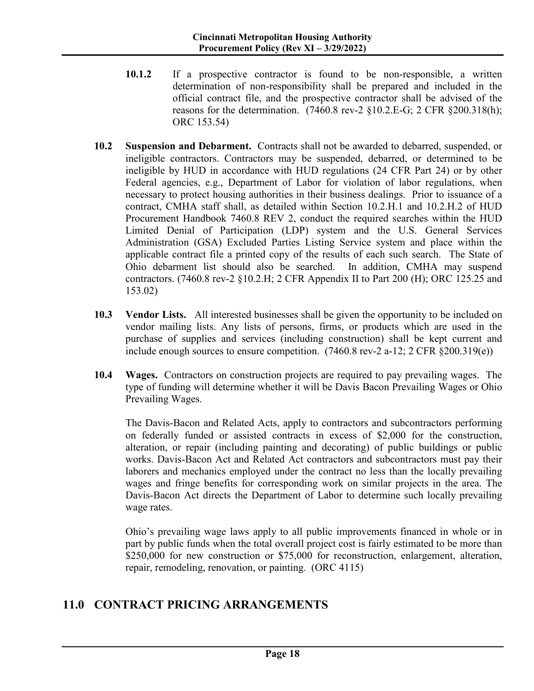- **10.1.2** If a prospective contractor is found to be non-responsible, a written determination of non-responsibility shall be prepared and included in the official contract file, and the prospective contractor shall be advised of the reasons for the determination.  $(7460.8 \text{ rev-2} \text{ §}10.2 \text{ E-G}; 2 \text{ CFR} \text{ §}200.318(h));$ ORC 153.54)
- **10.2 Suspension and Debarment.** Contracts shall not be awarded to debarred, suspended, or ineligible contractors. Contractors may be suspended, debarred, or determined to be ineligible by HUD in accordance with HUD regulations (24 CFR Part 24) or by other Federal agencies, e.g., Department of Labor for violation of labor regulations, when necessary to protect housing authorities in their business dealings. Prior to issuance of a contract, CMHA staff shall, as detailed within Section 10.2.H.1 and 10.2.H.2 of HUD Procurement Handbook 7460.8 REV 2, conduct the required searches within the HUD Limited Denial of Participation (LDP) system and the U.S. General Services Administration (GSA) Excluded Parties Listing Service system and place within the applicable contract file a printed copy of the results of each such search. The State of Ohio debarment list should also be searched. In addition, CMHA may suspend contractors. (7460.8 rev-2 §10.2.H; 2 CFR Appendix II to Part 200 (H); ORC 125.25 and 153.02)
- **10.3 Vendor Lists.** All interested businesses shall be given the opportunity to be included on vendor mailing lists. Any lists of persons, firms, or products which are used in the purchase of supplies and services (including construction) shall be kept current and include enough sources to ensure competition.  $(7460.8 \text{ rev-}2 \text{ a-}12; 2 \text{ CFR } \text{\&} 200.319(e))$
- **10.4 Wages.** Contractors on construction projects are required to pay prevailing wages. The type of funding will determine whether it will be Davis Bacon Prevailing Wages or Ohio Prevailing Wages.

The Davis-Bacon and Related Acts, apply to contractors and subcontractors performing on federally funded or assisted contracts in excess of \$2,000 for the construction, alteration, or repair (including painting and decorating) of public buildings or public works. Davis-Bacon Act and Related Act contractors and subcontractors must pay their laborers and mechanics employed under the contract no less than the locally prevailing wages and fringe benefits for corresponding work on similar projects in the area. The Davis-Bacon Act directs the Department of Labor to determine such locally prevailing wage rates.

Ohio's prevailing wage laws apply to all public improvements financed in whole or in part by public funds when the total overall project cost is fairly estimated to be more than \$250,000 for new construction or \$75,000 for reconstruction, enlargement, alteration, repair, remodeling, renovation, or painting. (ORC 4115)

## **11.0 CONTRACT PRICING ARRANGEMENTS**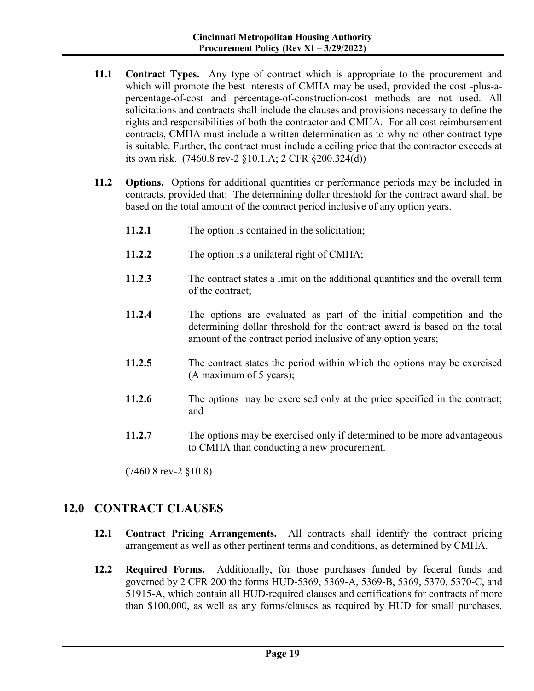- **11.1 Contract Types.** Any type of contract which is appropriate to the procurement and which will promote the best interests of CMHA may be used, provided the cost -plus-apercentage-of-cost and percentage-of-construction-cost methods are not used. All solicitations and contracts shall include the clauses and provisions necessary to define the rights and responsibilities of both the contractor and CMHA. For all cost reimbursement contracts, CMHA must include a written determination as to why no other contract type is suitable. Further, the contract must include a ceiling price that the contractor exceeds at its own risk. (7460.8 rev-2 §10.1.A; 2 CFR §200.324(d))
- **11.2 Options.** Options for additional quantities or performance periods may be included in contracts, provided that: The determining dollar threshold for the contract award shall be based on the total amount of the contract period inclusive of any option years.
	- **11.2.1** The option is contained in the solicitation;
	- **11.2.2** The option is a unilateral right of CMHA;
	- **11.2.3** The contract states a limit on the additional quantities and the overall term of the contract;
	- **11.2.4** The options are evaluated as part of the initial competition and the determining dollar threshold for the contract award is based on the total amount of the contract period inclusive of any option years;
	- **11.2.5** The contract states the period within which the options may be exercised (A maximum of 5 years);
	- **11.2.6** The options may be exercised only at the price specified in the contract; and
	- **11.2.7** The options may be exercised only if determined to be more advantageous to CMHA than conducting a new procurement.

(7460.8 rev-2 §10.8)

## **12.0 CONTRACT CLAUSES**

- **12.1 Contract Pricing Arrangements.** All contracts shall identify the contract pricing arrangement as well as other pertinent terms and conditions, as determined by CMHA.
- **12.2 Required Forms.** Additionally, for those purchases funded by federal funds and governed by 2 CFR 200 the forms HUD-5369, 5369-A, 5369-B, 5369, 5370, 5370-C, and 51915-A, which contain all HUD-required clauses and certifications for contracts of more than \$100,000, as well as any forms/clauses as required by HUD for small purchases,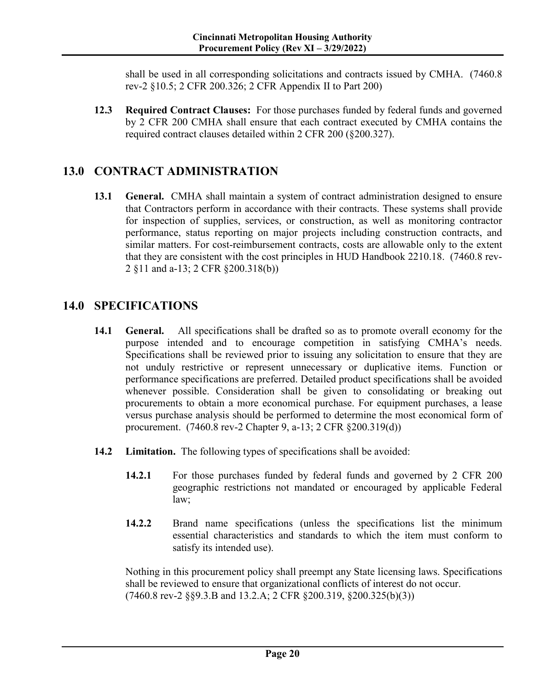shall be used in all corresponding solicitations and contracts issued by CMHA. (7460.8 rev-2 §10.5; 2 CFR 200.326; 2 CFR Appendix II to Part 200)

**12.3 Required Contract Clauses:** For those purchases funded by federal funds and governed by 2 CFR 200 CMHA shall ensure that each contract executed by CMHA contains the required contract clauses detailed within 2 CFR 200 (§200.327).

# **13.0 CONTRACT ADMINISTRATION**

**13.1 General.** CMHA shall maintain a system of contract administration designed to ensure that Contractors perform in accordance with their contracts. These systems shall provide for inspection of supplies, services, or construction, as well as monitoring contractor performance, status reporting on major projects including construction contracts, and similar matters. For cost-reimbursement contracts, costs are allowable only to the extent that they are consistent with the cost principles in HUD Handbook 2210.18. (7460.8 rev-2 §11 and a-13; 2 CFR §200.318(b))

# **14.0 SPECIFICATIONS**

- **14.1 General.** All specifications shall be drafted so as to promote overall economy for the purpose intended and to encourage competition in satisfying CMHA's needs. Specifications shall be reviewed prior to issuing any solicitation to ensure that they are not unduly restrictive or represent unnecessary or duplicative items. Function or performance specifications are preferred. Detailed product specifications shall be avoided whenever possible. Consideration shall be given to consolidating or breaking out procurements to obtain a more economical purchase. For equipment purchases, a lease versus purchase analysis should be performed to determine the most economical form of procurement. (7460.8 rev-2 Chapter 9, a-13; 2 CFR §200.319(d))
- **14.2 Limitation.** The following types of specifications shall be avoided:
	- **14.2.1** For those purchases funded by federal funds and governed by 2 CFR 200 geographic restrictions not mandated or encouraged by applicable Federal law;
	- **14.2.2** Brand name specifications (unless the specifications list the minimum essential characteristics and standards to which the item must conform to satisfy its intended use).

Nothing in this procurement policy shall preempt any State licensing laws. Specifications shall be reviewed to ensure that organizational conflicts of interest do not occur. (7460.8 rev-2 §§9.3.B and 13.2.A; 2 CFR §200.319, §200.325(b)(3))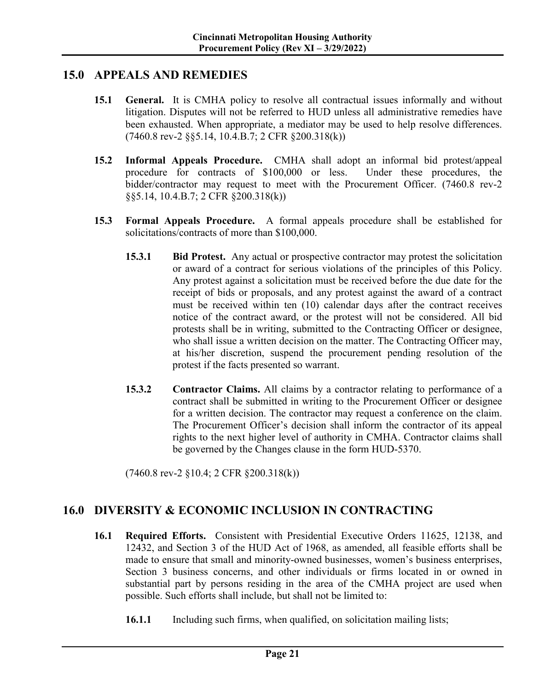#### **15.0 APPEALS AND REMEDIES**

- **15.1 General.** It is CMHA policy to resolve all contractual issues informally and without litigation. Disputes will not be referred to HUD unless all administrative remedies have been exhausted. When appropriate, a mediator may be used to help resolve differences. (7460.8 rev-2 §§5.14, 10.4.B.7; 2 CFR §200.318(k))
- **15.2 Informal Appeals Procedure.** CMHA shall adopt an informal bid protest/appeal procedure for contracts of \$100,000 or less. Under these procedures, the bidder/contractor may request to meet with the Procurement Officer. (7460.8 rev-2 §§5.14, 10.4.B.7; 2 CFR §200.318(k))
- **15.3 Formal Appeals Procedure.** A formal appeals procedure shall be established for solicitations/contracts of more than \$100,000.
	- **15.3.1 Bid Protest.** Any actual or prospective contractor may protest the solicitation or award of a contract for serious violations of the principles of this Policy. Any protest against a solicitation must be received before the due date for the receipt of bids or proposals, and any protest against the award of a contract must be received within ten (10) calendar days after the contract receives notice of the contract award, or the protest will not be considered. All bid protests shall be in writing, submitted to the Contracting Officer or designee, who shall issue a written decision on the matter. The Contracting Officer may, at his/her discretion, suspend the procurement pending resolution of the protest if the facts presented so warrant.
	- **15.3.2 Contractor Claims.** All claims by a contractor relating to performance of a contract shall be submitted in writing to the Procurement Officer or designee for a written decision. The contractor may request a conference on the claim. The Procurement Officer's decision shall inform the contractor of its appeal rights to the next higher level of authority in CMHA. Contractor claims shall be governed by the Changes clause in the form HUD-5370.

(7460.8 rev-2 §10.4; 2 CFR §200.318(k))

## **16.0 DIVERSITY & ECONOMIC INCLUSION IN CONTRACTING**

- **16.1 Required Efforts.** Consistent with Presidential Executive Orders 11625, 12138, and 12432, and Section 3 of the HUD Act of 1968, as amended, all feasible efforts shall be made to ensure that small and minority-owned businesses, women's business enterprises, Section 3 business concerns, and other individuals or firms located in or owned in substantial part by persons residing in the area of the CMHA project are used when possible. Such efforts shall include, but shall not be limited to:
	- **16.1.1** Including such firms, when qualified, on solicitation mailing lists;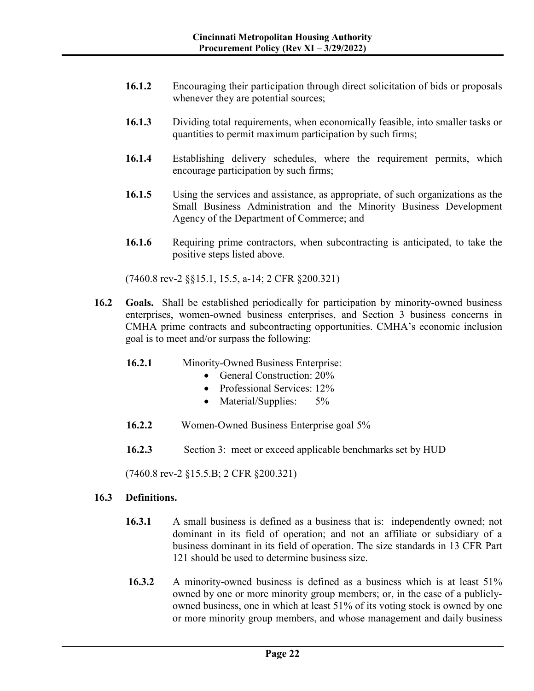- **16.1.2** Encouraging their participation through direct solicitation of bids or proposals whenever they are potential sources;
- **16.1.3** Dividing total requirements, when economically feasible, into smaller tasks or quantities to permit maximum participation by such firms;
- **16.1.4** Establishing delivery schedules, where the requirement permits, which encourage participation by such firms;
- **16.1.5** Using the services and assistance, as appropriate, of such organizations as the Small Business Administration and the Minority Business Development Agency of the Department of Commerce; and
- **16.1.6** Requiring prime contractors, when subcontracting is anticipated, to take the positive steps listed above.

(7460.8 rev-2 §§15.1, 15.5, a-14; 2 CFR §200.321)

- **16.2 Goals.** Shall be established periodically for participation by minority-owned business enterprises, women-owned business enterprises, and Section 3 business concerns in CMHA prime contracts and subcontracting opportunities. CMHA's economic inclusion goal is to meet and/or surpass the following:
	- **16.2.1** Minority-Owned Business Enterprise:
		- General Construction: 20%
		- Professional Services: 12%
		- Material/Supplies: 5%
	- **16.2.2** Women-Owned Business Enterprise goal 5%
	- **16.2.3** Section 3: meet or exceed applicable benchmarks set by HUD

(7460.8 rev-2 §15.5.B; 2 CFR §200.321)

#### **16.3 Definitions.**

- **16.3.1** A small business is defined as a business that is: independently owned; not dominant in its field of operation; and not an affiliate or subsidiary of a business dominant in its field of operation. The size standards in 13 CFR Part 121 should be used to determine business size.
- **16.3.2** A minority-owned business is defined as a business which is at least 51% owned by one or more minority group members; or, in the case of a publiclyowned business, one in which at least 51% of its voting stock is owned by one or more minority group members, and whose management and daily business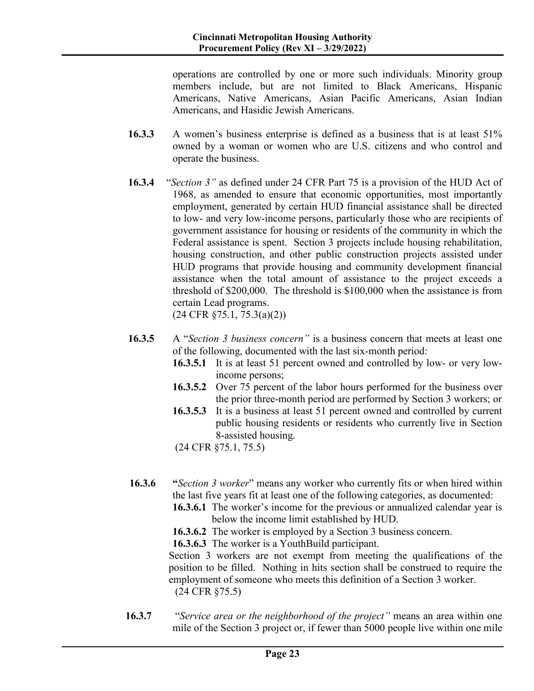operations are controlled by one or more such individuals. Minority group members include, but are not limited to Black Americans, Hispanic Americans, Native Americans, Asian Pacific Americans, Asian Indian Americans, and Hasidic Jewish Americans.

- **16.3.3** A women's business enterprise is defined as a business that is at least 51% owned by a woman or women who are U.S. citizens and who control and operate the business.
- **16.3.4** "*Section 3"* as defined under 24 CFR Part 75 is a provision of the HUD Act of 1968, as amended to ensure that economic opportunities, most importantly employment, generated by certain HUD financial assistance shall be directed to low- and very low-income persons, particularly those who are recipients of government assistance for housing or residents of the community in which the Federal assistance is spent. Section 3 projects include housing rehabilitation, housing construction, and other public construction projects assisted under HUD programs that provide housing and community development financial assistance when the total amount of assistance to the project exceeds a threshold of \$200,000. The threshold is \$100,000 when the assistance is from certain Lead programs. (24 CFR §75.1, 75.3(a)(2))
- **16.3.5** A "*Section 3 business concern"* is a business concern that meets at least one of the following, documented with the last six-month period:
	- **16.3.5.1** It is at least 51 percent owned and controlled by low- or very lowincome persons;
	- **16.3.5.2** Over 75 percent of the labor hours performed for the business over the prior three-month period are performed by Section 3 workers; or
	- **16.3.5.3** It is a business at least 51 percent owned and controlled by current public housing residents or residents who currently live in Section 8-assisted housing.
	- (24 CFR §75.1, 75.5)
- **16.3.6 "***Section 3 worker*" means any worker who currently fits or when hired within the last five years fit at least one of the following categories, as documented:
	- **16.3.6.1** The worker's income for the previous or annualized calendar year is below the income limit established by HUD.
	- **16.3.6.2** The worker is employed by a Section 3 business concern.

**16.3.6.3** The worker is a YouthBuild participant.

Section 3 workers are not exempt from meeting the qualifications of the position to be filled. Nothing in hits section shall be construed to require the employment of someone who meets this definition of a Section 3 worker. (24 CFR §75.5)

**16.3.7** "*Service area or the neighborhood of the project"* means an area within one mile of the Section 3 project or, if fewer than 5000 people live within one mile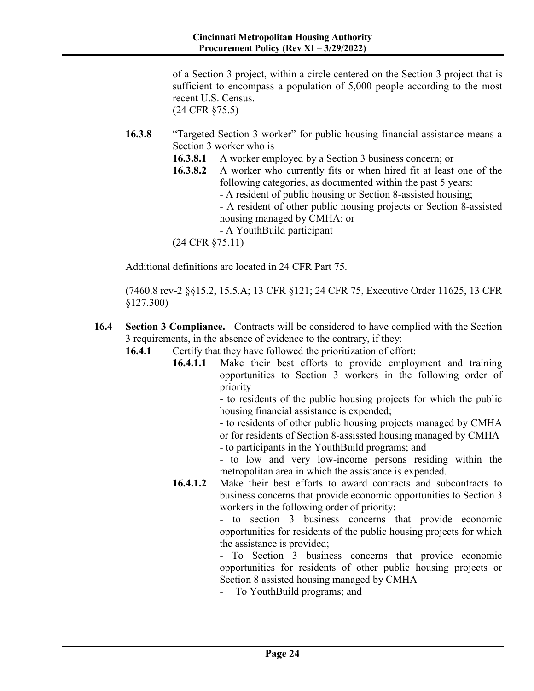of a Section 3 project, within a circle centered on the Section 3 project that is sufficient to encompass a population of 5,000 people according to the most recent U.S. Census. (24 CFR §75.5)

- **16.3.8** "Targeted Section 3 worker" for public housing financial assistance means a Section 3 worker who is
	- **16.3.8.1** A worker employed by a Section 3 business concern; or
	- **16.3.8.2** A worker who currently fits or when hired fit at least one of the following categories, as documented within the past 5 years: - A resident of public housing or Section 8-assisted housing; - A resident of other public housing projects or Section 8-assisted housing managed by CMHA; or

- A YouthBuild participant

(24 CFR §75.11)

Additional definitions are located in 24 CFR Part 75.

(7460.8 rev-2 §§15.2, 15.5.A; 13 CFR §121; 24 CFR 75, Executive Order 11625, 13 CFR §127.300)

- **16.4 Section 3 Compliance.** Contracts will be considered to have complied with the Section 3 requirements, in the absence of evidence to the contrary, if they:
	- **16.4.1** Certify that they have followed the prioritization of effort:
		- **16.4.1.1** Make their best efforts to provide employment and training opportunities to Section 3 workers in the following order of priority

- to residents of the public housing projects for which the public housing financial assistance is expended;

- to residents of other public housing projects managed by CMHA or for residents of Section 8-assissted housing managed by CMHA - to participants in the YouthBuild programs; and

- to low and very low-income persons residing within the metropolitan area in which the assistance is expended.

**16.4.1.2** Make their best efforts to award contracts and subcontracts to business concerns that provide economic opportunities to Section 3 workers in the following order of priority:

> - to section 3 business concerns that provide economic opportunities for residents of the public housing projects for which the assistance is provided;

> - To Section 3 business concerns that provide economic opportunities for residents of other public housing projects or Section 8 assisted housing managed by CMHA

- To YouthBuild programs; and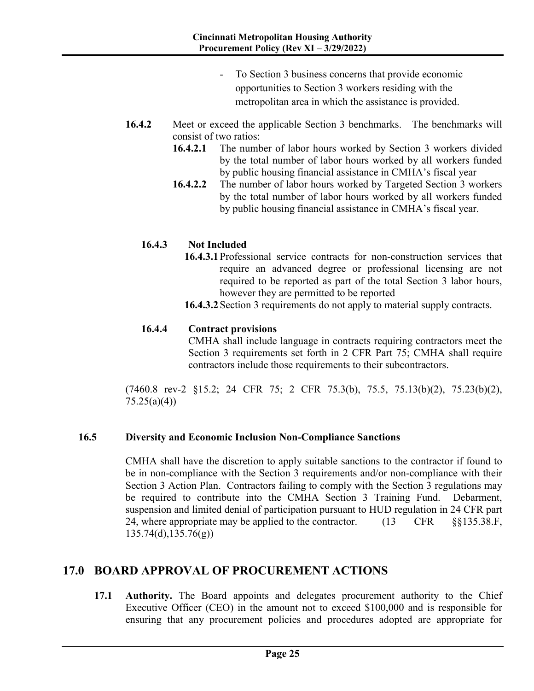- To Section 3 business concerns that provide economic opportunities to Section 3 workers residing with the metropolitan area in which the assistance is provided.
- **16.4.2** Meet or exceed the applicable Section 3 benchmarks. The benchmarks will consist of two ratios:
	- **16.4.2.1** The number of labor hours worked by Section 3 workers divided by the total number of labor hours worked by all workers funded by public housing financial assistance in CMHA's fiscal year
	- **16.4.2.2** The number of labor hours worked by Targeted Section 3 workers by the total number of labor hours worked by all workers funded by public housing financial assistance in CMHA's fiscal year.

#### **16.4.3 Not Included**

**16.4.3.1**Professional service contracts for non-construction services that require an advanced degree or professional licensing are not required to be reported as part of the total Section 3 labor hours, however they are permitted to be reported

**16.4.3.2**Section 3 requirements do not apply to material supply contracts.

#### **16.4.4 Contract provisions**

CMHA shall include language in contracts requiring contractors meet the Section 3 requirements set forth in 2 CFR Part 75; CMHA shall require contractors include those requirements to their subcontractors.

(7460.8 rev-2 §15.2; 24 CFR 75; 2 CFR 75.3(b), 75.5, 75.13(b)(2), 75.23(b)(2),  $75.25(a)(4)$ 

#### **16.5 Diversity and Economic Inclusion Non-Compliance Sanctions**

CMHA shall have the discretion to apply suitable sanctions to the contractor if found to be in non-compliance with the Section 3 requirements and/or non-compliance with their Section 3 Action Plan. Contractors failing to comply with the Section 3 regulations may be required to contribute into the CMHA Section 3 Training Fund. Debarment, suspension and limited denial of participation pursuant to HUD regulation in 24 CFR part 24, where appropriate may be applied to the contractor. (13 CFR §§135.38.F, 135.74(d),135.76(g))

## **17.0 BOARD APPROVAL OF PROCUREMENT ACTIONS**

**17.1 Authority.** The Board appoints and delegates procurement authority to the Chief Executive Officer (CEO) in the amount not to exceed \$100,000 and is responsible for ensuring that any procurement policies and procedures adopted are appropriate for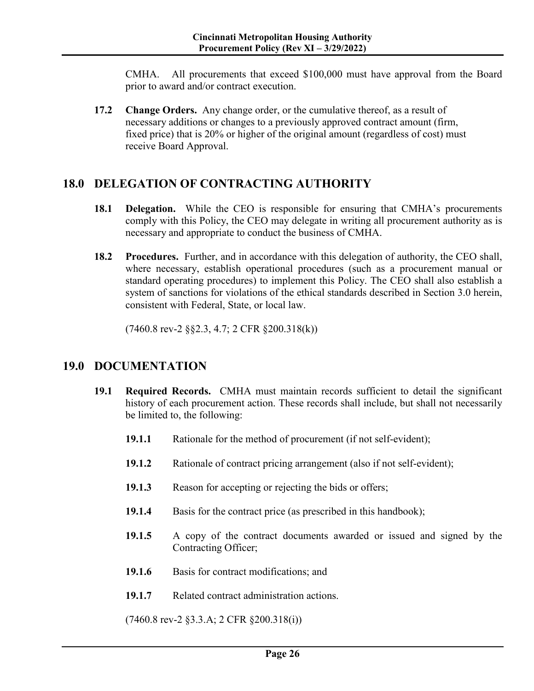CMHA. All procurements that exceed \$100,000 must have approval from the Board prior to award and/or contract execution.

**17.2 Change Orders.** Any change order, or the cumulative thereof, as a result of necessary additions or changes to a previously approved contract amount (firm, fixed price) that is 20% or higher of the original amount (regardless of cost) must receive Board Approval.

## **18.0 DELEGATION OF CONTRACTING AUTHORITY**

- **18.1 Delegation.** While the CEO is responsible for ensuring that CMHA's procurements comply with this Policy, the CEO may delegate in writing all procurement authority as is necessary and appropriate to conduct the business of CMHA.
- **18.2 Procedures.** Further, and in accordance with this delegation of authority, the CEO shall, where necessary, establish operational procedures (such as a procurement manual or standard operating procedures) to implement this Policy. The CEO shall also establish a system of sanctions for violations of the ethical standards described in Section 3.0 herein, consistent with Federal, State, or local law.

(7460.8 rev-2 §§2.3, 4.7; 2 CFR §200.318(k))

## **19.0 DOCUMENTATION**

- **19.1 Required Records.** CMHA must maintain records sufficient to detail the significant history of each procurement action. These records shall include, but shall not necessarily be limited to, the following:
	- **19.1.1** Rationale for the method of procurement (if not self-evident);
	- **19.1.2** Rationale of contract pricing arrangement (also if not self-evident);
	- **19.1.3** Reason for accepting or rejecting the bids or offers;
	- **19.1.4** Basis for the contract price (as prescribed in this handbook);
	- **19.1.5** A copy of the contract documents awarded or issued and signed by the Contracting Officer;
	- **19.1.6** Basis for contract modifications; and
	- **19.1.7** Related contract administration actions.

(7460.8 rev-2 §3.3.A; 2 CFR §200.318(i))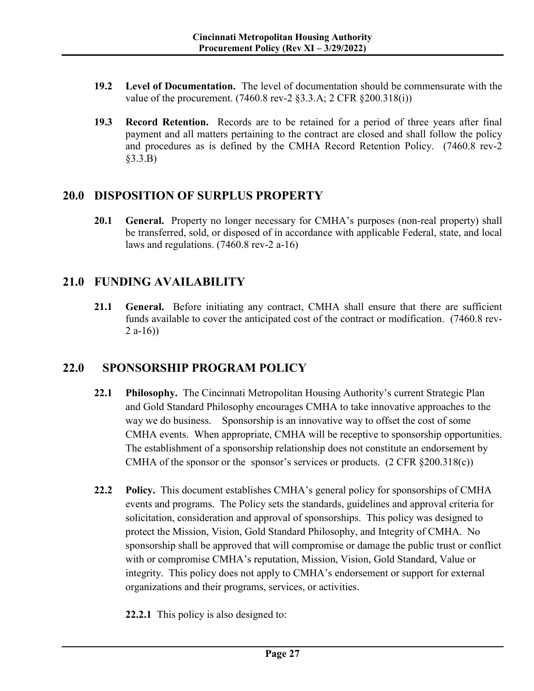- **19.2 Level of Documentation.** The level of documentation should be commensurate with the value of the procurement. (7460.8 rev-2 §3.3.A; 2 CFR §200.318(i))
- **19.3 Record Retention.** Records are to be retained for a period of three years after final payment and all matters pertaining to the contract are closed and shall follow the policy and procedures as is defined by the CMHA Record Retention Policy. (7460.8 rev-2 §3.3.B)

## **20.0 DISPOSITION OF SURPLUS PROPERTY**

**20.1 General.** Property no longer necessary for CMHA's purposes (non-real property) shall be transferred, sold, or disposed of in accordance with applicable Federal, state, and local laws and regulations. (7460.8 rev-2 a-16)

# **21.0 FUNDING AVAILABILITY**

**21.1 General.** Before initiating any contract, CMHA shall ensure that there are sufficient funds available to cover the anticipated cost of the contract or modification. (7460.8 rev- $2 a-16$ )

## **22.0 SPONSORSHIP PROGRAM POLICY**

- **22.1 Philosophy.** The Cincinnati Metropolitan Housing Authority's current Strategic Plan and Gold Standard Philosophy encourages CMHA to take innovative approaches to the way we do business. Sponsorship is an innovative way to offset the cost of some CMHA events. When appropriate, CMHA will be receptive to sponsorship opportunities. The establishment of a sponsorship relationship does not constitute an endorsement by CMHA of the sponsor or the sponsor's services or products.  $(2 \text{ CFR } \S 200.318(c))$
- **22.2 Policy.** This document establishes CMHA's general policy for sponsorships of CMHA events and programs. The Policy sets the standards, guidelines and approval criteria for solicitation, consideration and approval of sponsorships. This policy was designed to protect the Mission, Vision, Gold Standard Philosophy, and Integrity of CMHA. No sponsorship shall be approved that will compromise or damage the public trust or conflict with or compromise CMHA's reputation, Mission, Vision, Gold Standard, Value or integrity. This policy does not apply to CMHA's endorsement or support for external organizations and their programs, services, or activities.
	- **22.2.1** This policy is also designed to: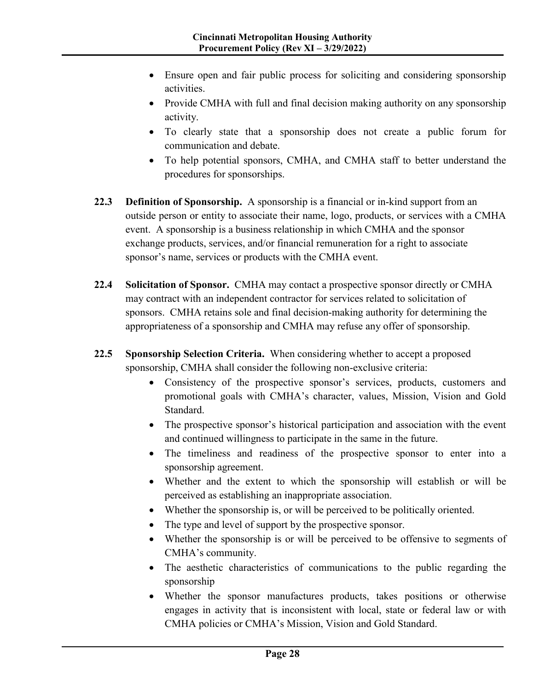- Ensure open and fair public process for soliciting and considering sponsorship activities.
- Provide CMHA with full and final decision making authority on any sponsorship activity.
- To clearly state that a sponsorship does not create a public forum for communication and debate.
- To help potential sponsors, CMHA, and CMHA staff to better understand the procedures for sponsorships.
- **22.3 Definition of Sponsorship.** A sponsorship is a financial or in-kind support from an outside person or entity to associate their name, logo, products, or services with a CMHA event. A sponsorship is a business relationship in which CMHA and the sponsor exchange products, services, and/or financial remuneration for a right to associate sponsor's name, services or products with the CMHA event.
- **22.4 Solicitation of Sponsor.** CMHA may contact a prospective sponsor directly or CMHA may contract with an independent contractor for services related to solicitation of sponsors. CMHA retains sole and final decision-making authority for determining the appropriateness of a sponsorship and CMHA may refuse any offer of sponsorship.
- **22.5 Sponsorship Selection Criteria.** When considering whether to accept a proposed sponsorship, CMHA shall consider the following non-exclusive criteria:
	- Consistency of the prospective sponsor's services, products, customers and promotional goals with CMHA's character, values, Mission, Vision and Gold Standard.
	- The prospective sponsor's historical participation and association with the event and continued willingness to participate in the same in the future.
	- The timeliness and readiness of the prospective sponsor to enter into a sponsorship agreement.
	- Whether and the extent to which the sponsorship will establish or will be perceived as establishing an inappropriate association.
	- Whether the sponsorship is, or will be perceived to be politically oriented.
	- The type and level of support by the prospective sponsor.
	- Whether the sponsorship is or will be perceived to be offensive to segments of CMHA's community.
	- The aesthetic characteristics of communications to the public regarding the sponsorship
	- Whether the sponsor manufactures products, takes positions or otherwise engages in activity that is inconsistent with local, state or federal law or with CMHA policies or CMHA's Mission, Vision and Gold Standard.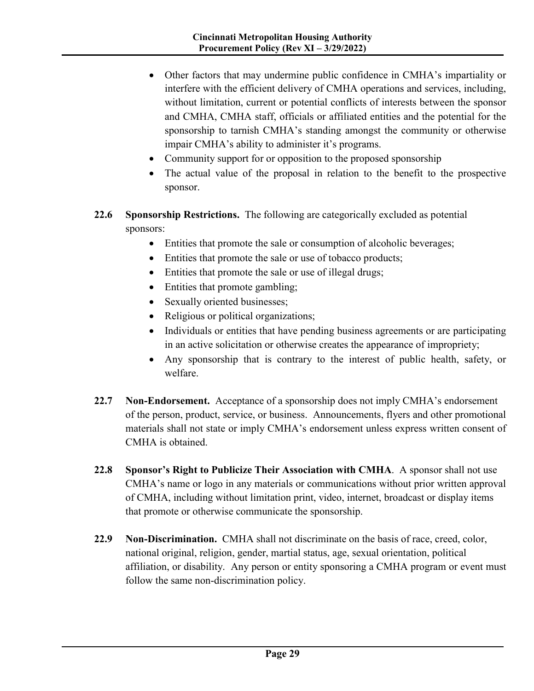- Other factors that may undermine public confidence in CMHA's impartiality or interfere with the efficient delivery of CMHA operations and services, including, without limitation, current or potential conflicts of interests between the sponsor and CMHA, CMHA staff, officials or affiliated entities and the potential for the sponsorship to tarnish CMHA's standing amongst the community or otherwise impair CMHA's ability to administer it's programs.
- Community support for or opposition to the proposed sponsorship
- The actual value of the proposal in relation to the benefit to the prospective sponsor.
- **22.6 Sponsorship Restrictions.** The following are categorically excluded as potential sponsors:
	- Entities that promote the sale or consumption of alcoholic beverages;
	- Entities that promote the sale or use of tobacco products;
	- Entities that promote the sale or use of illegal drugs;
	- Entities that promote gambling;
	- Sexually oriented businesses;
	- Religious or political organizations;
	- Individuals or entities that have pending business agreements or are participating in an active solicitation or otherwise creates the appearance of impropriety;
	- Any sponsorship that is contrary to the interest of public health, safety, or welfare.
- **22.7 Non-Endorsement.** Acceptance of a sponsorship does not imply CMHA's endorsement of the person, product, service, or business. Announcements, flyers and other promotional materials shall not state or imply CMHA's endorsement unless express written consent of CMHA is obtained.
- **22.8 Sponsor's Right to Publicize Their Association with CMHA**. A sponsor shall not use CMHA's name or logo in any materials or communications without prior written approval of CMHA, including without limitation print, video, internet, broadcast or display items that promote or otherwise communicate the sponsorship.
- **22.9 Non-Discrimination.** CMHA shall not discriminate on the basis of race, creed, color, national original, religion, gender, martial status, age, sexual orientation, political affiliation, or disability. Any person or entity sponsoring a CMHA program or event must follow the same non-discrimination policy.